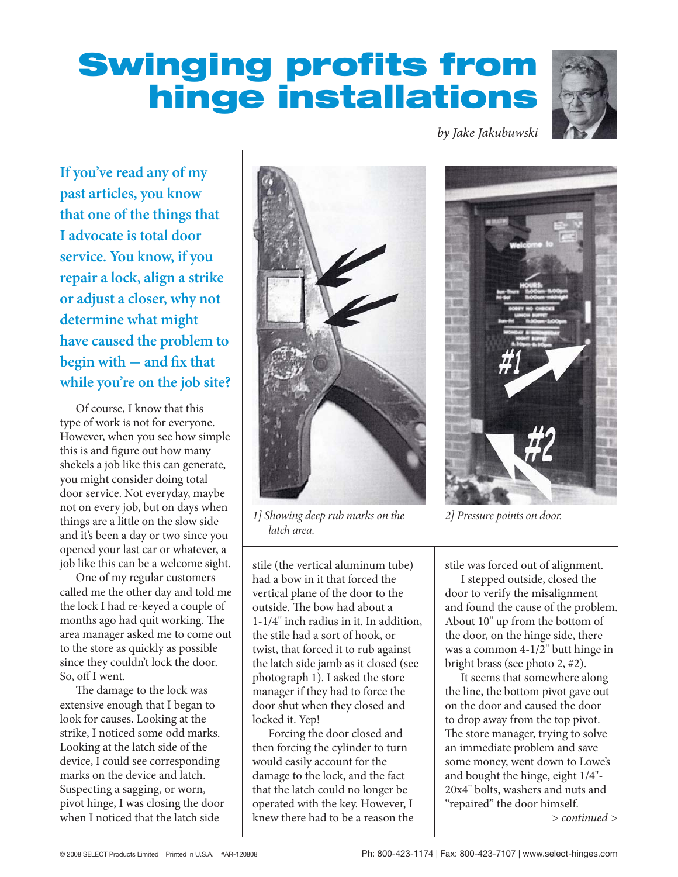## Swinging profits from hinge installations



*by Jake Jakubuwski*

**If you've read any of my past articles, you know that one of the things that I advocate is total door service. You know, if you repair a lock, align a strike or adjust a closer, why not determine what might have caused the problem to begin with - and fix that while you're on the job site?**

Of course, I know that this type of work is not for everyone. However, when you see how simple this is and figure out how many shekels a job like this can generate, you might consider doing total door service. Not everyday, maybe not on every job, but on days when things are a little on the slow side and it's been a day or two since you opened your last car or whatever, a job like this can be a welcome sight.

One of my regular customers called me the other day and told me the lock I had re-keyed a couple of months ago had quit working. The area manager asked me to come out to the store as quickly as possible since they couldn't lock the door. So, off I went.

The damage to the lock was extensive enough that I began to look for causes. Looking at the strike, I noticed some odd marks. Looking at the latch side of the device, I could see corresponding marks on the device and latch. Suspecting a sagging, or worn, pivot hinge, I was closing the door when I noticed that the latch side



*1] Showing deep rub marks on the latch area.*

stile (the vertical aluminum tube) had a bow in it that forced the vertical plane of the door to the outside. The bow had about a 1-1/4" inch radius in it. In addition, the stile had a sort of hook, or twist, that forced it to rub against the latch side jamb as it closed (see photograph 1). I asked the store manager if they had to force the door shut when they closed and locked it. Yep!

Forcing the door closed and then forcing the cylinder to turn would easily account for the damage to the lock, and the fact that the latch could no longer be operated with the key. However, I knew there had to be a reason the



*2] Pressure points on door.*

stile was forced out of alignment.

I stepped outside, closed the door to verify the misalignment and found the cause of the problem. About 10" up from the bottom of the door, on the hinge side, there was a common 4-1/2" butt hinge in bright brass (see photo 2, #2).

It seems that somewhere along the line, the bottom pivot gave out on the door and caused the door to drop away from the top pivot. The store manager, trying to solve an immediate problem and save some money, went down to Lowe's and bought the hinge, eight 1/4"- 20x4" bolts, washers and nuts and "repaired" the door himself.

*> continued >*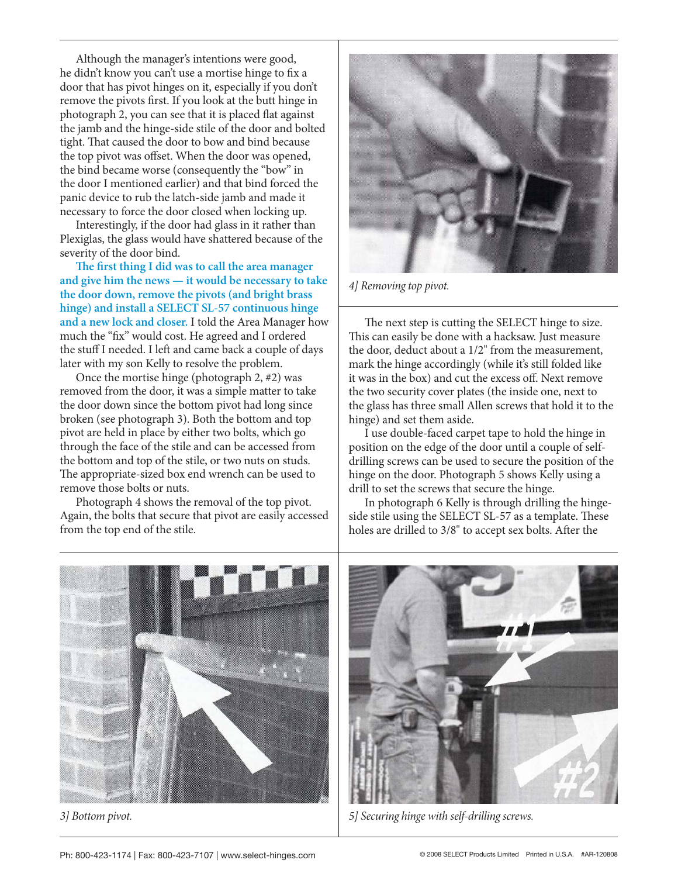Although the manager's intentions were good, he didn't know you can't use a mortise hinge to fix a door that has pivot hinges on it, especially if you don't remove the pivots first. If you look at the butt hinge in photograph 2, you can see that it is placed flat against the jamb and the hinge-side stile of the door and bolted tight. That caused the door to bow and bind because the top pivot was offset. When the door was opened, the bind became worse (consequently the "bow" in the door I mentioned earlier) and that bind forced the panic device to rub the latch-side jamb and made it necessary to force the door closed when locking up.

Interestingly, if the door had glass in it rather than Plexiglas, the glass would have shattered because of the severity of the door bind.

**The first thing I did was to call the area manager and give him the news — it would be necessary to take the door down, remove the pivots (and bright brass hinge) and install a SELECT SL-57 continuous hinge and a new lock and closer.** I told the Area Manager how much the "fix" would cost. He agreed and I ordered the stuff I needed. I left and came back a couple of days later with my son Kelly to resolve the problem.

Once the mortise hinge (photograph 2, #2) was removed from the door, it was a simple matter to take the door down since the bottom pivot had long since broken (see photograph 3). Both the bottom and top pivot are held in place by either two bolts, which go through the face of the stile and can be accessed from the bottom and top of the stile, or two nuts on studs. The appropriate-sized box end wrench can be used to remove those bolts or nuts.

Photograph 4 shows the removal of the top pivot. Again, the bolts that secure that pivot are easily accessed from the top end of the stile.



*4] Removing top pivot.*

The next step is cutting the SELECT hinge to size. This can easily be done with a hacksaw. Just measure the door, deduct about a 1/2" from the measurement, mark the hinge accordingly (while it's still folded like it was in the box) and cut the excess off. Next remove the two security cover plates (the inside one, next to the glass has three small Allen screws that hold it to the hinge) and set them aside.

I use double-faced carpet tape to hold the hinge in position on the edge of the door until a couple of selfdrilling screws can be used to secure the position of the hinge on the door. Photograph 5 shows Kelly using a drill to set the screws that secure the hinge.

In photograph 6 Kelly is through drilling the hingeside stile using the SELECT SL-57 as a template. These holes are drilled to 3/8" to accept sex bolts. After the





*3] Bottom pivot. 5] Securing hinge with self-drilling screws.*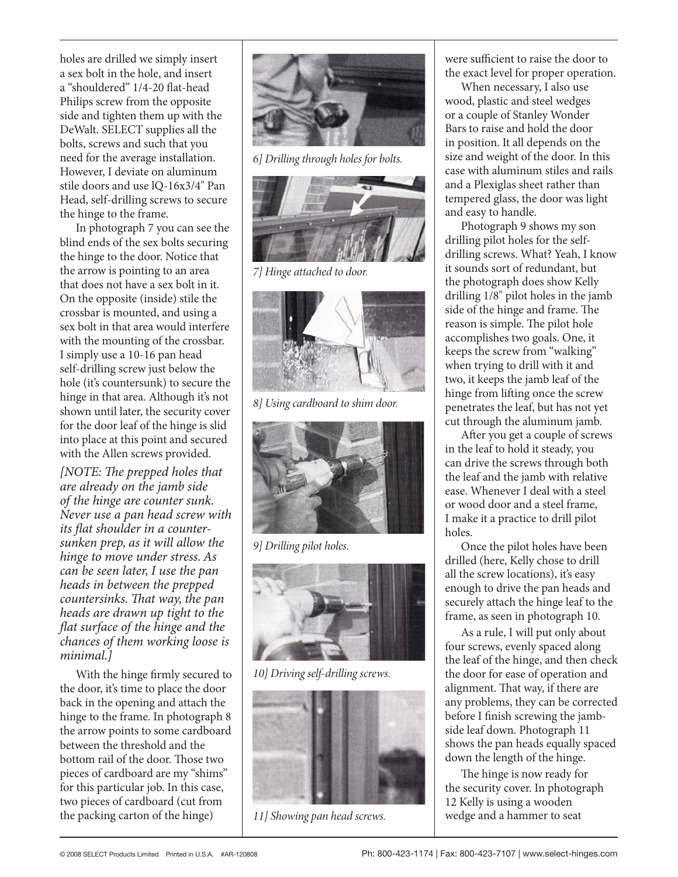holes are drilled we simply insert a sex bolt in the hole, and insert a "shouldered" 1/4-20 flat-head Philips screw from the opposite side and tighten them up with the DeWalt. SELECT supplies all the bolts, screws and such that you need for the average installation. However, I deviate on aluminum stile doors and use lQ-16x3/4" Pan Head, self-drilling screws to secure the hinge to the frame.

In photograph 7 you can see the blind ends of the sex bolts securing the hinge to the door. Notice that the arrow is pointing to an area that does not have a sex bolt in it. On the opposite (inside) stile the crossbar is mounted, and using a sex bolt in that area would interfere with the mounting of the crossbar. I simply use a 10-16 pan head self-drilling screw just below the hole (it's countersunk) to secure the hinge in that area. Although it's not shown until later, the security cover for the door leaf of the hinge is slid into place at this point and secured with the Allen screws provided.

*[NOTE: The prepped holes that are already on the jamb side of the hinge are counter sunk. Never use a pan head screw with its flat shoulder in a countersunken prep, as it will allow the hinge to move under stress. As can be seen later, I use the pan heads in between the prepped countersinks. That way, the pan heads are drawn up tight to the flat surface of the hinge and the chances of them working loose is minimal.]*

With the hinge firmly secured to the door, it's time to place the door back in the opening and attach the hinge to the frame. In photograph 8 the arrow points to some cardboard between the threshold and the bottom rail of the door. Those two pieces of cardboard are my "shims" for this particular job. In this case, two pieces of cardboard (cut from the packing carton of the hinge)



*6] Drilling through holes for bolts.*



*7] Hinge attached to door.*



*8] Using cardboard to shim door.*



*9] Drilling pilot holes.*



*10] Driving self-drilling screws.*



*11] Showing pan head screws.*

were sufficient to raise the door to the exact level for proper operation.

When necessary, I also use wood, plastic and steel wedges or a couple of Stanley Wonder Bars to raise and hold the door in position. It all depends on the size and weight of the door. In this case with aluminum stiles and rails and a Plexiglas sheet rather than tempered glass, the door was light and easy to handle.

Photograph 9 shows my son drilling pilot holes for the selfdrilling screws. What? Yeah, I know it sounds sort of redundant, but the photograph does show Kelly drilling 1/8" pilot holes in the jamb side of the hinge and frame. The reason is simple. The pilot hole accomplishes two goals. One, it keeps the screw from "walking" when trying to drill with it and two, it keeps the jamb leaf of the hinge from lifting once the screw penetrates the leaf, but has not yet cut through the aluminum jamb.

After you get a couple of screws in the leaf to hold it steady, you can drive the screws through both the leaf and the jamb with relative ease. Whenever I deal with a steel or wood door and a steel frame, I make it a practice to drill pilot holes.

Once the pilot holes have been drilled (here, Kelly chose to drill all the screw locations), it's easy enough to drive the pan heads and securely attach the hinge leaf to the frame, as seen in photograph 10.

As a rule, I will put only about four screws, evenly spaced along the leaf of the hinge, and then check the door for ease of operation and alignment. That way, if there are any problems, they can be corrected before I finish screwing the jambside leaf down. Photograph 11 shows the pan heads equally spaced down the length of the hinge.

The hinge is now ready for the security cover. In photograph 12 Kelly is using a wooden wedge and a hammer to seat